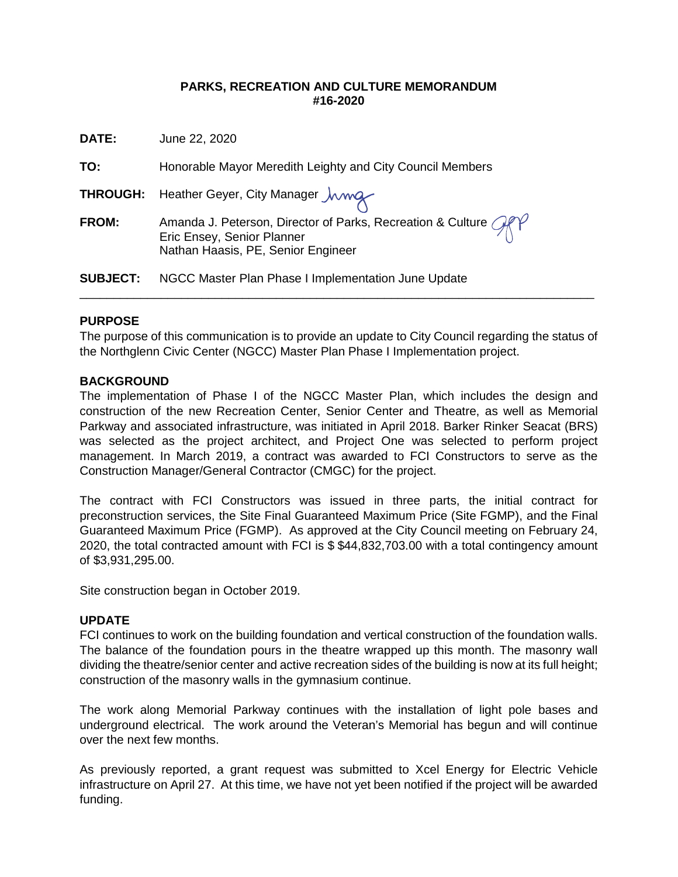#### **PARKS, RECREATION AND CULTURE MEMORANDUM #16-2020**

**DATE:** June 22, 2020

**TO:** Honorable Mayor Meredith Leighty and City Council Members

**THROUGH:** Heather Geyer, City Manager  $\mu$ 

**FROM:** Amanda J. Peterson, Director of Parks, Recreation & Culture ORY Eric Ensey, Senior Planner Nathan Haasis, PE, Senior Engineer

**SUBJECT:** NGCC Master Plan Phase I Implementation June Update

### **PURPOSE**

The purpose of this communication is to provide an update to City Council regarding the status of the Northglenn Civic Center (NGCC) Master Plan Phase I Implementation project.

\_\_\_\_\_\_\_\_\_\_\_\_\_\_\_\_\_\_\_\_\_\_\_\_\_\_\_\_\_\_\_\_\_\_\_\_\_\_\_\_\_\_\_\_\_\_\_\_\_\_\_\_\_\_\_\_\_\_\_\_\_\_\_\_\_\_\_\_\_\_\_\_\_\_\_\_

### **BACKGROUND**

The implementation of Phase I of the NGCC Master Plan, which includes the design and construction of the new Recreation Center, Senior Center and Theatre, as well as Memorial Parkway and associated infrastructure, was initiated in April 2018. Barker Rinker Seacat (BRS) was selected as the project architect, and Project One was selected to perform project management. In March 2019, a contract was awarded to FCI Constructors to serve as the Construction Manager/General Contractor (CMGC) for the project.

The contract with FCI Constructors was issued in three parts, the initial contract for preconstruction services, the Site Final Guaranteed Maximum Price (Site FGMP), and the Final Guaranteed Maximum Price (FGMP). As approved at the City Council meeting on February 24, 2020, the total contracted amount with FCI is \$ \$44,832,703.00 with a total contingency amount of \$3,931,295.00.

Site construction began in October 2019.

### **UPDATE**

FCI continues to work on the building foundation and vertical construction of the foundation walls. The balance of the foundation pours in the theatre wrapped up this month. The masonry wall dividing the theatre/senior center and active recreation sides of the building is now at its full height; construction of the masonry walls in the gymnasium continue.

The work along Memorial Parkway continues with the installation of light pole bases and underground electrical. The work around the Veteran's Memorial has begun and will continue over the next few months.

As previously reported, a grant request was submitted to Xcel Energy for Electric Vehicle infrastructure on April 27. At this time, we have not yet been notified if the project will be awarded funding.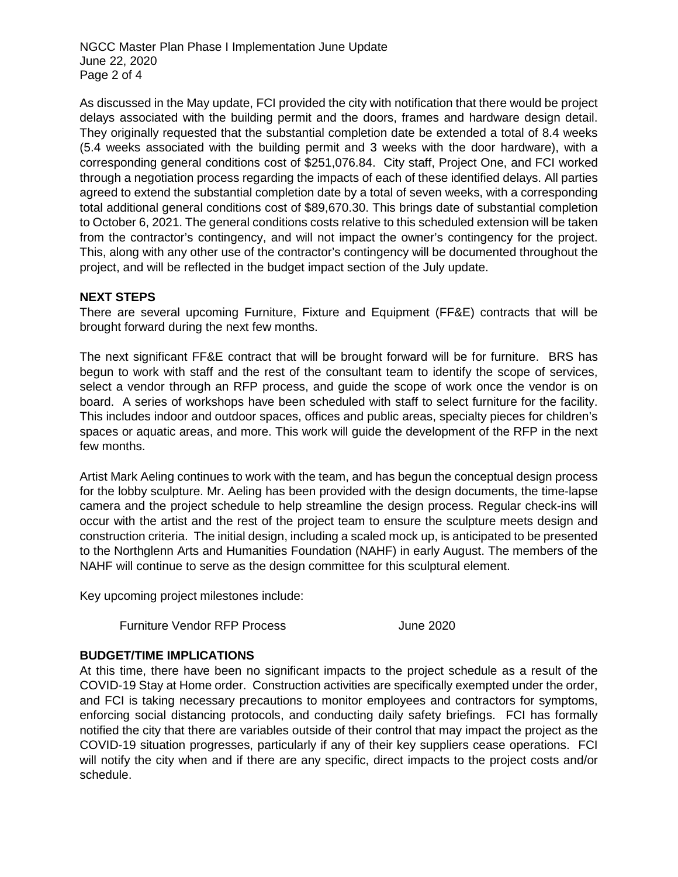NGCC Master Plan Phase I Implementation June Update June 22, 2020 Page 2 of 4

As discussed in the May update, FCI provided the city with notification that there would be project delays associated with the building permit and the doors, frames and hardware design detail. They originally requested that the substantial completion date be extended a total of 8.4 weeks (5.4 weeks associated with the building permit and 3 weeks with the door hardware), with a corresponding general conditions cost of \$251,076.84. City staff, Project One, and FCI worked through a negotiation process regarding the impacts of each of these identified delays. All parties agreed to extend the substantial completion date by a total of seven weeks, with a corresponding total additional general conditions cost of \$89,670.30. This brings date of substantial completion to October 6, 2021. The general conditions costs relative to this scheduled extension will be taken from the contractor's contingency, and will not impact the owner's contingency for the project. This, along with any other use of the contractor's contingency will be documented throughout the project, and will be reflected in the budget impact section of the July update.

### **NEXT STEPS**

There are several upcoming Furniture, Fixture and Equipment (FF&E) contracts that will be brought forward during the next few months.

The next significant FF&E contract that will be brought forward will be for furniture. BRS has begun to work with staff and the rest of the consultant team to identify the scope of services, select a vendor through an RFP process, and guide the scope of work once the vendor is on board. A series of workshops have been scheduled with staff to select furniture for the facility. This includes indoor and outdoor spaces, offices and public areas, specialty pieces for children's spaces or aquatic areas, and more. This work will guide the development of the RFP in the next few months.

Artist Mark Aeling continues to work with the team, and has begun the conceptual design process for the lobby sculpture. Mr. Aeling has been provided with the design documents, the time-lapse camera and the project schedule to help streamline the design process. Regular check-ins will occur with the artist and the rest of the project team to ensure the sculpture meets design and construction criteria. The initial design, including a scaled mock up, is anticipated to be presented to the Northglenn Arts and Humanities Foundation (NAHF) in early August. The members of the NAHF will continue to serve as the design committee for this sculptural element.

Key upcoming project milestones include:

Furniture Vendor RFP Process June 2020

### **BUDGET/TIME IMPLICATIONS**

At this time, there have been no significant impacts to the project schedule as a result of the COVID-19 Stay at Home order. Construction activities are specifically exempted under the order, and FCI is taking necessary precautions to monitor employees and contractors for symptoms, enforcing social distancing protocols, and conducting daily safety briefings. FCI has formally notified the city that there are variables outside of their control that may impact the project as the COVID-19 situation progresses, particularly if any of their key suppliers cease operations. FCI will notify the city when and if there are any specific, direct impacts to the project costs and/or schedule.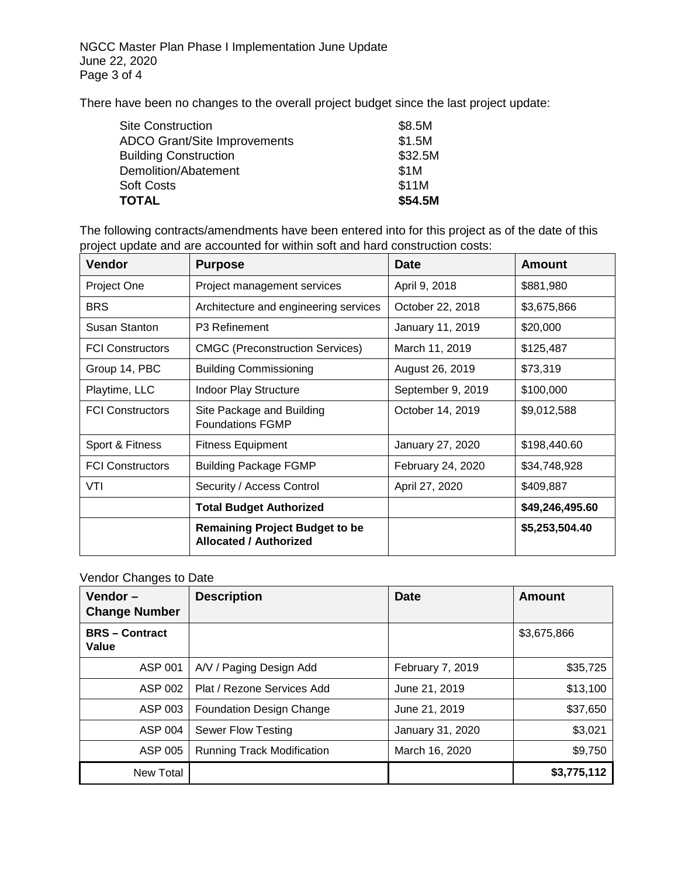There have been no changes to the overall project budget since the last project update:

| \$8.5M  |
|---------|
| \$1.5M  |
| \$32.5M |
| \$1M    |
| \$11M   |
| \$54.5M |
|         |

The following contracts/amendments have been entered into for this project as of the date of this project update and are accounted for within soft and hard construction costs:

| <b>Vendor</b>           | <b>Purpose</b>                                                         | <b>Date</b>       | <b>Amount</b>   |
|-------------------------|------------------------------------------------------------------------|-------------------|-----------------|
| Project One             | Project management services                                            | April 9, 2018     | \$881,980       |
| <b>BRS</b>              | Architecture and engineering services                                  | October 22, 2018  | \$3,675,866     |
| <b>Susan Stanton</b>    | P <sub>3</sub> Refinement                                              | January 11, 2019  | \$20,000        |
| <b>FCI Constructors</b> | <b>CMGC (Preconstruction Services)</b>                                 | March 11, 2019    | \$125,487       |
| Group 14, PBC           | <b>Building Commissioning</b>                                          | August 26, 2019   | \$73,319        |
| Playtime, LLC           | <b>Indoor Play Structure</b>                                           | September 9, 2019 | \$100,000       |
| <b>FCI Constructors</b> | Site Package and Building<br><b>Foundations FGMP</b>                   | October 14, 2019  | \$9,012,588     |
| Sport & Fitness         | <b>Fitness Equipment</b>                                               | January 27, 2020  | \$198,440.60    |
| <b>FCI Constructors</b> | <b>Building Package FGMP</b>                                           | February 24, 2020 | \$34,748,928    |
| VTI                     | Security / Access Control                                              | April 27, 2020    | \$409,887       |
|                         | <b>Total Budget Authorized</b>                                         |                   | \$49,246,495.60 |
|                         | <b>Remaining Project Budget to be</b><br><b>Allocated / Authorized</b> |                   | \$5,253,504.40  |

# Vendor Changes to Date

| Vendor $-$<br><b>Change Number</b> | <b>Description</b>                | <b>Date</b>      | <b>Amount</b> |
|------------------------------------|-----------------------------------|------------------|---------------|
| <b>BRS-Contract</b><br>Value       |                                   |                  | \$3,675,866   |
| ASP 001                            | A/V / Paging Design Add           | February 7, 2019 | \$35,725      |
| ASP 002                            | Plat / Rezone Services Add        | June 21, 2019    | \$13,100      |
| ASP 003                            | <b>Foundation Design Change</b>   | June 21, 2019    | \$37,650      |
| ASP 004                            | Sewer Flow Testing                | January 31, 2020 | \$3,021       |
| ASP 005                            | <b>Running Track Modification</b> | March 16, 2020   | \$9,750       |
| New Total                          |                                   |                  | \$3,775,112   |